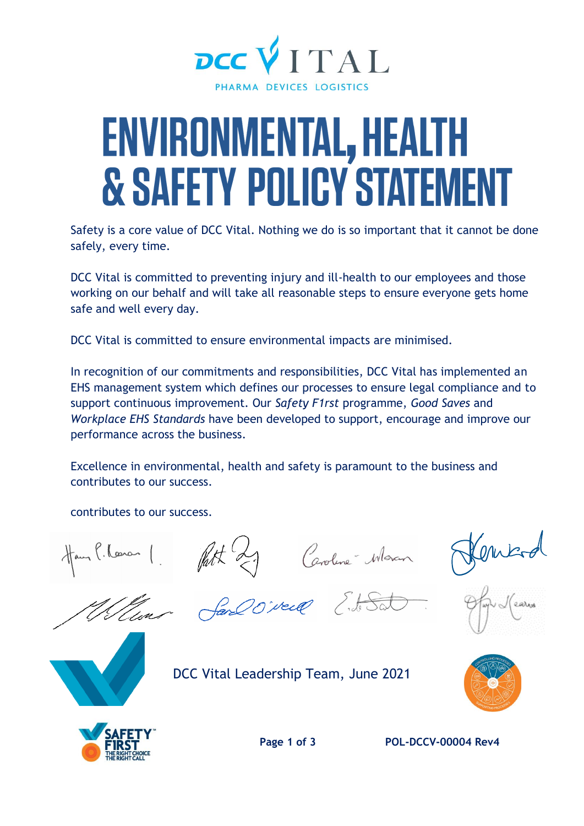

## ENVIRONMENTAL, HEALTH **& SAFETY POLICY STATEMEN**

Safety is a core value of DCC Vital. Nothing we do is so important that it cannot be done safely, every time.

DCC Vital is committed to preventing injury and ill-health to our employees and those working on our behalf and will take all reasonable steps to ensure everyone gets home safe and well every day.

DCC Vital is committed to ensure environmental impacts are minimised.

In recognition of our commitments and responsibilities, DCC Vital has implemented an EHS management system which defines our processes to ensure legal compliance and to support continuous improvement. Our *Safety F1rst* programme, *Good Saves* and *Workplace EHS Standards* have been developed to support, encourage and improve our performance across the business.

Excellence in environmental, health and safety is paramount to the business and contributes to our success.

contributes to our success.

Hans P. Losson 1. Patt 29 Ceroline Waren







Vluns San Oireil Ed Sat

DCC Vital Leadership Team, June 2021





**Page 1 of 3 POL-DCCV-00004 Rev4**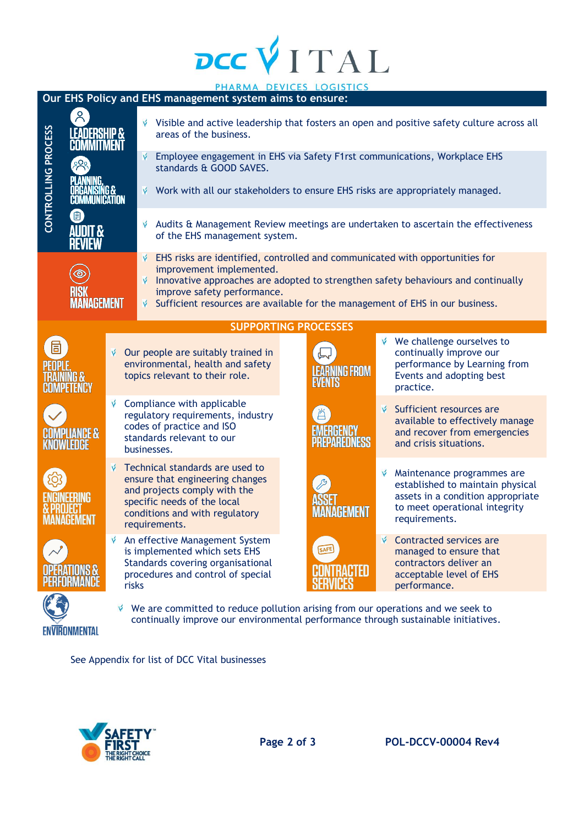## DCCVITAL

| PHARMA DEVICES LOGISTICS                                 |                                                    |                                                                                                                                                                       |                                                                                                                                                                                      |                                                                                                                                          |                                                                                                                                                                                                                                                  |  |                     |    |                                                                                                                                                       |  |
|----------------------------------------------------------|----------------------------------------------------|-----------------------------------------------------------------------------------------------------------------------------------------------------------------------|--------------------------------------------------------------------------------------------------------------------------------------------------------------------------------------|------------------------------------------------------------------------------------------------------------------------------------------|--------------------------------------------------------------------------------------------------------------------------------------------------------------------------------------------------------------------------------------------------|--|---------------------|----|-------------------------------------------------------------------------------------------------------------------------------------------------------|--|
| Our EHS Policy and EHS management system aims to ensure: |                                                    |                                                                                                                                                                       |                                                                                                                                                                                      |                                                                                                                                          |                                                                                                                                                                                                                                                  |  |                     |    |                                                                                                                                                       |  |
|                                                          | <b>LEADERSHIP &amp;</b><br><b>COMMITMENT</b><br>38 |                                                                                                                                                                       |                                                                                                                                                                                      |                                                                                                                                          | $\check{\mathsf{v}}$ Visible and active leadership that fosters an open and positive safety culture across all<br>areas of the business.<br>Employee engagement in EHS via Safety F1rst communications, Workplace EHS<br>standards & GOOD SAVES. |  |                     |    |                                                                                                                                                       |  |
| CONTROLLING PROCESS                                      |                                                    |                                                                                                                                                                       |                                                                                                                                                                                      | Ý                                                                                                                                        |                                                                                                                                                                                                                                                  |  |                     |    |                                                                                                                                                       |  |
|                                                          | GUMMUNIGATUN                                       |                                                                                                                                                                       |                                                                                                                                                                                      | v                                                                                                                                        | Work with all our stakeholders to ensure EHS risks are appropriately managed.                                                                                                                                                                    |  |                     |    |                                                                                                                                                       |  |
| 旧)<br><b>AUDIT &amp;</b><br><b>REVIEW</b>                |                                                    |                                                                                                                                                                       |                                                                                                                                                                                      | Ý                                                                                                                                        | Audits & Management Review meetings are undertaken to ascertain the effectiveness<br>of the EHS management system.                                                                                                                               |  |                     |    |                                                                                                                                                       |  |
|                                                          |                                                    |                                                                                                                                                                       |                                                                                                                                                                                      | EHS risks are identified, controlled and communicated with opportunities for                                                             |                                                                                                                                                                                                                                                  |  |                     |    |                                                                                                                                                       |  |
| $\circledcirc$                                           |                                                    |                                                                                                                                                                       |                                                                                                                                                                                      | improvement implemented.                                                                                                                 |                                                                                                                                                                                                                                                  |  |                     |    |                                                                                                                                                       |  |
|                                                          |                                                    |                                                                                                                                                                       |                                                                                                                                                                                      |                                                                                                                                          | Innovative approaches are adopted to strengthen safety behaviours and continually                                                                                                                                                                |  |                     |    |                                                                                                                                                       |  |
| RISK<br><b>MANAGEMENT</b>                                |                                                    |                                                                                                                                                                       |                                                                                                                                                                                      |                                                                                                                                          | improve safety performance.                                                                                                                                                                                                                      |  |                     |    |                                                                                                                                                       |  |
|                                                          |                                                    |                                                                                                                                                                       |                                                                                                                                                                                      | Sufficient resources are available for the management of EHS in our business.                                                            |                                                                                                                                                                                                                                                  |  |                     |    |                                                                                                                                                       |  |
| <b>SUPPORTING PROCESSES</b>                              |                                                    |                                                                                                                                                                       |                                                                                                                                                                                      |                                                                                                                                          |                                                                                                                                                                                                                                                  |  |                     |    |                                                                                                                                                       |  |
|                                                          |                                                    |                                                                                                                                                                       |                                                                                                                                                                                      |                                                                                                                                          |                                                                                                                                                                                                                                                  |  |                     |    |                                                                                                                                                       |  |
| 6                                                        |                                                    | Ý.                                                                                                                                                                    | Our people are suitably trained in<br>environmental, health and safety<br>topics relevant to their role.                                                                             |                                                                                                                                          |                                                                                                                                                                                                                                                  |  | <b>EARNING FROM</b> |    | We challenge ourselves to<br>continually improve our<br>performance by Learning from<br>Events and adopting best<br>practice.                         |  |
|                                                          | V<br><b>COMPLIANCE &amp;</b><br>KNOWLEDICE         |                                                                                                                                                                       |                                                                                                                                                                                      | Compliance with applicable<br>regulatory requirements, industry<br>codes of practice and ISO<br>standards relevant to our<br>businesses. |                                                                                                                                                                                                                                                  |  | Ä<br>EMERGEN        |    | Sufficient resources are<br>available to effectively manage<br>and recover from emergencies<br>and crisis situations.                                 |  |
|                                                          |                                                    | v                                                                                                                                                                     | Technical standards are used to<br>ensure that engineering changes<br>and projects comply with the<br>specific needs of the local<br>conditions and with regulatory<br>requirements. |                                                                                                                                          |                                                                                                                                                                                                                                                  |  |                     | Ý. | Maintenance programmes are<br>established to maintain physical<br>assets in a condition appropriate<br>to meet operational integrity<br>requirements. |  |
|                                                          |                                                    |                                                                                                                                                                       | An effective Management System<br>is implemented which sets EHS<br>Standards covering organisational<br>procedures and control of special<br>risks                                   |                                                                                                                                          |                                                                                                                                                                                                                                                  |  | SAFE<br>NTRACTED    |    | Contracted services are<br>managed to ensure that<br>contractors deliver an<br>acceptable level of EHS<br>performance.                                |  |
| IRONMENTAL                                               |                                                    | We are committed to reduce pollution arising from our operations and we seek to<br>continually improve our environmental performance through sustainable initiatives. |                                                                                                                                                                                      |                                                                                                                                          |                                                                                                                                                                                                                                                  |  |                     |    |                                                                                                                                                       |  |

See Appendix for list of DCC Vital businesses